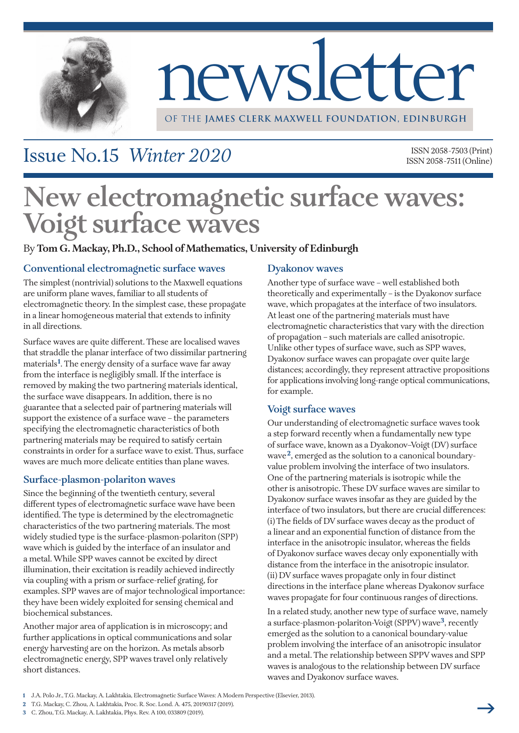

# newsletter

OF THE **James Clerk Maxwell Foundation, edinburgh**

## Issue No.15 *Winter 2020*

ISSN2058-7503 (Print) ISSN2058-7511 (Online)

# **New electromagnetic surface waves: Voigt surface waves**

#### By **Tom G. Mackay, Ph.D., School of Mathematics, University of Edinburgh**

#### **Conventional electromagnetic surface waves**

The simplest (nontrivial) solutions to the Maxwell equations are uniform plane waves, familiar to all students of electromagnetic theory. In the simplest case, these propagate in a linear homogeneous material that extends to infinity in all directions.

Surface waves are quite different.These are localised waves that straddle the planar interface of two dissimilar partnering materials**<sup>1</sup>** .The energy density of a surface wave far away from the interface is negligibly small. If the interface is removed by making the two partnering materials identical, the surface wave disappears. In addition, there is no guarantee that a selected pair of partnering materials will support the existence of a surface wave – the parameters specifying the electromagnetic characteristics of both partnering materials may be required to satisfy certain constraints in order for a surface wave to exist.Thus, surface waves are much more delicate entities than plane waves.

#### **Surface-plasmon-polariton waves**

Since the beginning of the twentieth century, several different types of electromagnetic surface wave have been identified.The type is determined by the electromagnetic characteristics of the two partnering materials.The most widely studied type is the surface-plasmon-polariton (SPP) wave which is guided by the interface of an insulator and a metal.While SPP waves cannot be excited by direct illumination, their excitation is readily achieved indirectly via coupling with a prism or surface-relief grating, for examples. SPP waves are of major technological importance: they have been widely exploited for sensing chemical and biochemical substances.

Another major area of application is in microscopy; and further applications in optical communications and solar energy harvesting are on the horizon. As metals absorb electromagnetic energy, SPP waves travel only relatively short distances.

#### **Dyakonov waves**

Another type of surface wave – well established both theoretically and experimentally – is the Dyakonov surface wave, which propagates at the interface of two insulators. At least one of the partnering materials must have electromagnetic characteristics that vary with the direction of propagation – such materials are called anisotropic. Unlike other types of surface wave, such as SPP waves, Dyakonov surface waves can propagate over quite large distances; accordingly, they represent attractive propositions for applications involving long-range optical communications, for example.

#### **Voigt surface waves**

Our understanding of electromagnetic surface waves took a step forward recently when a fundamentally new type of surface wave, known as a Dyakonov–Voigt (DV) surface wave**2**, emerged as the solution to a canonical boundaryvalue problem involving the interface of two insulators. One of the partnering materials is isotropic while the other is anisotropic. These DV surface waves are similar to Dyakonov surface waves insofar as they are guided by the interface of two insulators, but there are crucial differences: (i) The fields of DV surface waves decay as the product of a linear and an exponential function of distance from the interface in the anisotropic insulator, whereas the fields of Dyakonov surface waves decay only exponentially with distance from the interface in the anisotropic insulator. (ii) DV surface waves propagate only in four distinct directions in the interface plane whereas Dyakonov surface waves propagate for four continuous ranges of directions.

In a related study, another new type of surface wave, namely a surface-plasmon-polariton-Voigt (SPPV) wave**3**, recently emerged as the solution to a canonical boundary-value problem involving the interface of an anisotropic insulator and a metal. The relationship between SPPV waves and SPP waves is analogous to the relationship between DV surface waves and Dyakonov surface waves.

- **1** J.A. Polo Jr.,T.G. Mackay, A. Lakhtakia, Electromagnetic SurfaceWaves: A Modern Perspective (Elsevier, 2013).
- **2** T.G. Mackay, C. Zhou, A. Lakhtakia, Proc. R. Soc. Lond. A. 475, 20190317 (2019).
- **3** C. Zhou,T.G. Mackay, A. Lakhtakia, Phys. Rev. A 100, 033809 (2019).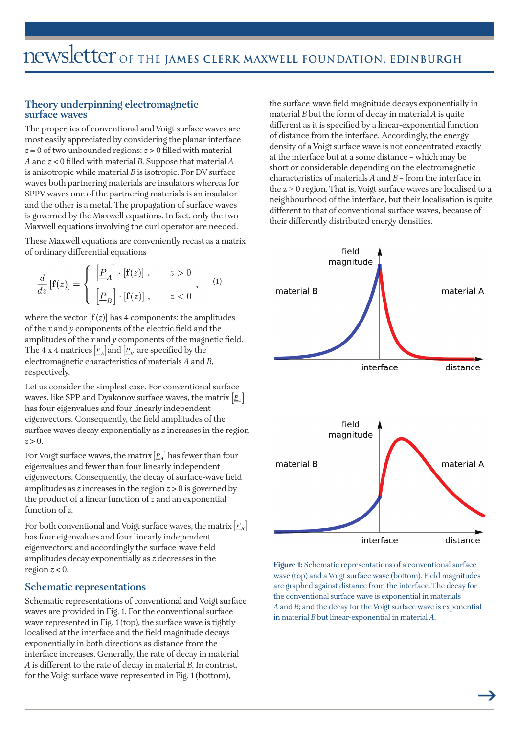#### **Theory underpinning electromagnetic surface waves**

The properties of conventional and Voigt surface waves are most easily appreciated by considering the planar interface *z* = 0 of two unbounded regions: *z* > 0 filled with material *A* and *z* < 0 filled with material *B*. Suppose that material *A* is anisotropic while material *B* is isotropic. For DV surface waves both partnering materials are insulators whereas for SPPV waves one of the partnering materials is an insulator and the other is a metal.The propagation of surface waves is governed by the Maxwell equations. In fact, only the two Maxwell equations involving the curl operator are needed.

These Maxwell equations are conveniently recast as a matrix of ordinary differential equations

$$
\frac{d}{dz}\left[\mathbf{f}(z)\right] = \begin{cases}\n\underline{\begin{bmatrix}\underline{P}_A\end{bmatrix}} \cdot \left[\mathbf{f}(z)\right], & z > 0 \\
\underline{\begin{bmatrix}\underline{P}_B\end{bmatrix}} \cdot \left[\mathbf{f}(z)\right], & z < 0\n\end{cases}, \quad (1)
$$

where the vector  $[f(z)]$  has 4 components: the amplitudes of the *x* and *y* components of the electric field and the amplitudes of the *x* and *y* components of the magnetic field. The 4 x 4 matrices  $\left[\underline{P}_A\right]$  and  $\left[\underline{P}_B\right]$  are specified by the electromagnetic characteristics of materials *A* and *B*, respectively.

Let us consider the simplest case. For conventional surface waves, like SPP and Dyakonov surface waves, the matrix  $\left[\underline{P}_A\right]$ has four eigenvalues and four linearly independent eigenvectors. Consequently, the field amplitudes of the surface waves decay exponentially as *z* increases in the region  $z > 0$ .

For Voigt surface waves, the matrix  $[\underline{P}_A]$  has fewer than four eigenvalues and fewer than four linearly independent eigenvectors. Consequently, the decay of surface-wave field amplitudes as *z* increases in the region *z* > 0 is governed by the product of a linear function of *z* and an exponential function of *z*.

For both conventional and Voigt surface waves, the matrix  $\left|\frac{P}{q}B\right|$ has four eigenvalues and four linearly independent eigenvectors; and accordingly the surface-wave field amplitudes decay exponentially as *z* decreases in the region  $z < 0$ .

#### **Schematic representations**

Schematic representations of conventional and Voigt surface waves are provided in Fig. 1. For the conventional surface wave represented in Fig. 1 (top), the surface wave is tightly localised at the interface and the field magnitude decays exponentially in both directions as distance from the interface increases. Generally, the rate of decay in material *A* is different to the rate of decay in material *B*. In contrast, for the Voigt surface wave represented in Fig. 1 (bottom),

the surface-wave field magnitude decays exponentially in material *B* but the form of decay in material *A* is quite different as it is specified by a linear-exponential function of distance from the interface. Accordingly, the energy density of a Voigt surface wave is not concentrated exactly at the interface but at a some distance – which may be short or considerable depending on the electromagnetic characteristics of materials *A* and *B* – from the interface in the  $z > 0$  region. That is, Voigt surface waves are localised to a neighbourhood of the interface, but their localisation is quite different to that of conventional surface waves, because of their differently distributed energy densities.



**Figure 1:** Schematic representations of a conventional surface wave (top) and a Voigt surface wave (bottom). Field magnitudes are graphed against distance from the interface.The decay for the conventional surface wave is exponential in materials *A* and *B*; and the decay for the Voigt surface wave is exponential in material *B* but linear-exponential in material *A*.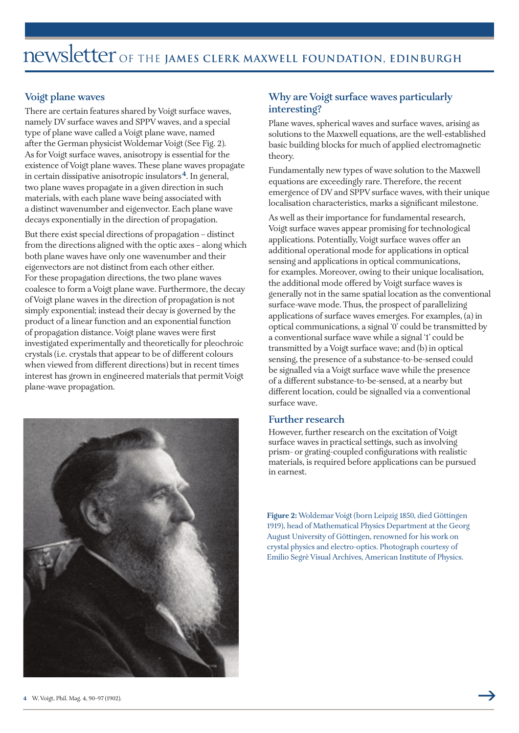#### **Voigt plane waves**

There are certain features shared by Voigt surface waves, namely DV surface waves and SPPV waves, and a special type of plane wave called a Voigt plane wave, named after the German physicist Woldemar Voigt (See Fig. 2). As for Voigt surface waves, anisotropy is essential for the existence ofVoigt plane waves.These plane waves propagate in certain dissipative anisotropic insulators**4**. In general, two plane waves propagate in a given direction in such materials, with each plane wave being associated with a distinct wavenumber and eigenvector. Each plane wave decays exponentially in the direction of propagation.

But there exist special directions of propagation – distinct from the directions aligned with the optic axes – along which both plane waves have only one wavenumber and their eigenvectors are not distinct from each other either. For these propagation directions, the two plane waves coalesce to form aVoigt plane wave. Furthermore, the decay ofVoigt plane waves in the direction of propagation is not simply exponential; instead their decay is governed by the product of a linear function and an exponential function of propagation distance.Voigt plane waves were first investigated experimentally and theoretically for pleochroic crystals (i.e. crystals that appear to be of different colours when viewed from different directions) but in recent times interest has grown in engineered materials that permit Voigt plane-wave propagation.



#### **Why** are Voigt surface waves particularly **interesting?**

Plane waves, spherical waves and surface waves, arising as solutions to the Maxwell equations, are the well-established basic building blocks for much of applied electromagnetic theory.

Fundamentally new types of wave solution to the Maxwell equations are exceedingly rare.Therefore, the recent emergence of DV and SPPV surface waves, with their unique localisation characteristics, marks a significant milestone.

As well as their importance for fundamental research, Voigt surface waves appear promising for technological applications. Potentially,Voigt surface waves offer an additional operational mode for applications in optical sensing and applications in optical communications, for examples. Moreover, owing to their unique localisation, the additional mode offered by Voigt surface waves is generally not in the same spatial location as the conventional surface-wave mode.Thus, the prospect of parallelizing applications of surface waves emerges. For examples, (a) in optical communications, a signal '0' could be transmitted by a conventional surface wave while a signal '1' could be transmitted by aVoigt surface wave; and (b) in optical sensing, the presence of a substance-to-be-sensed could be signalled via aVoigt surface wave while the presence of a different substance-to-be-sensed, at a nearby but different location, could be signalled via a conventional surface wave.

#### **Further research**

However, further research on the excitation of Voigt surface waves in practical settings, such as involving prism- or grating-coupled configurations with realistic materials, is required before applications can be pursued in earnest.

Figure 2: Woldemar Voigt (born Leipzig 1850, died Göttingen 1919), head of Mathematical Physics Department at the Georg August University of Göttingen, renowned for his work on crystal physics and electro-optics. Photograph courtesy of Emilio Segrè Visual Archives, American Institute of Physics.